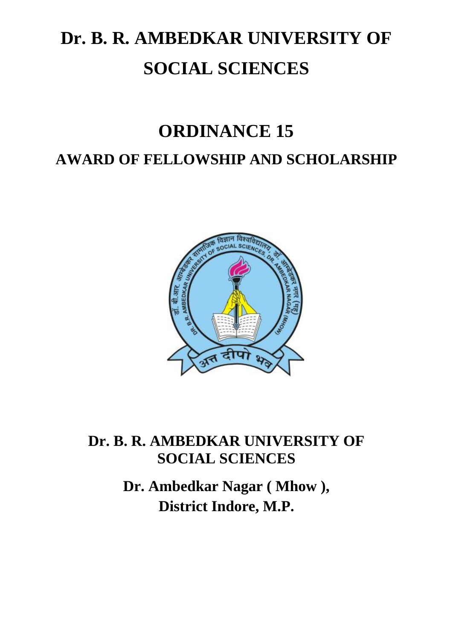# **Dr. B. R. AMBEDKAR UNIVERSITY OF SOCIAL SCIENCES**

# **ORDINANCE 15**

## **AWARD OF FELLOWSHIP AND SCHOLARSHIP**



### **Dr. B. R. AMBEDKAR UNIVERSITY OF SOCIAL SCIENCES**

**Dr. Ambedkar Nagar ( Mhow ), District Indore, M.P.**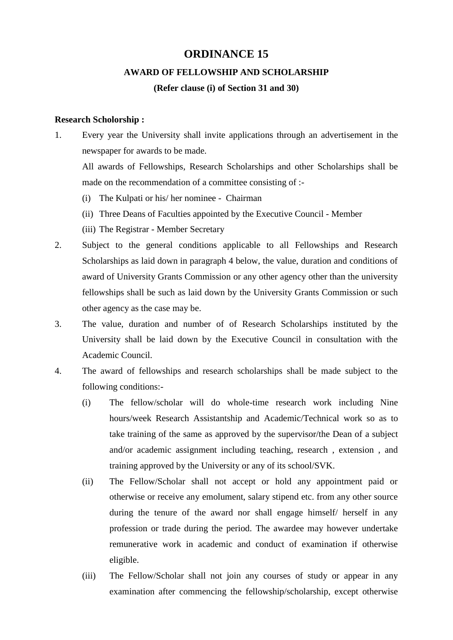#### **ORDINANCE 15**

#### **AWARD OF FELLOWSHIP AND SCHOLARSHIP**

#### **(Refer clause (i) of Section 31 and 30)**

#### **Research Scholorship :**

1. Every year the University shall invite applications through an advertisement in the newspaper for awards to be made.

All awards of Fellowships, Research Scholarships and other Scholarships shall be made on the recommendation of a committee consisting of :-

- (i) The Kulpati or his/ her nominee Chairman
- (ii) Three Deans of Faculties appointed by the Executive Council Member
- (iii) The Registrar Member Secretary
- 2. Subject to the general conditions applicable to all Fellowships and Research Scholarships as laid down in paragraph 4 below, the value, duration and conditions of award of University Grants Commission or any other agency other than the university fellowships shall be such as laid down by the University Grants Commission or such other agency as the case may be.
- 3. The value, duration and number of of Research Scholarships instituted by the University shall be laid down by the Executive Council in consultation with the Academic Council.
- 4. The award of fellowships and research scholarships shall be made subject to the following conditions:-
	- (i) The fellow/scholar will do whole-time research work including Nine hours/week Research Assistantship and Academic/Technical work so as to take training of the same as approved by the supervisor/the Dean of a subject and/or academic assignment including teaching, research , extension , and training approved by the University or any of its school/SVK.
	- (ii) The Fellow/Scholar shall not accept or hold any appointment paid or otherwise or receive any emolument, salary stipend etc. from any other source during the tenure of the award nor shall engage himself/ herself in any profession or trade during the period. The awardee may however undertake remunerative work in academic and conduct of examination if otherwise eligible.
	- (iii) The Fellow/Scholar shall not join any courses of study or appear in any examination after commencing the fellowship/scholarship, except otherwise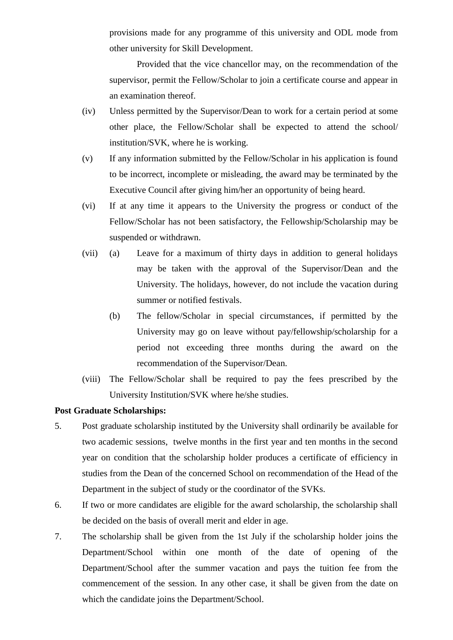provisions made for any programme of this university and ODL mode from other university for Skill Development.

Provided that the vice chancellor may, on the recommendation of the supervisor, permit the Fellow/Scholar to join a certificate course and appear in an examination thereof.

- (iv) Unless permitted by the Supervisor/Dean to work for a certain period at some other place, the Fellow/Scholar shall be expected to attend the school/ institution/SVK, where he is working.
- (v) If any information submitted by the Fellow/Scholar in his application is found to be incorrect, incomplete or misleading, the award may be terminated by the Executive Council after giving him/her an opportunity of being heard.
- (vi) If at any time it appears to the University the progress or conduct of the Fellow/Scholar has not been satisfactory, the Fellowship/Scholarship may be suspended or withdrawn.
- (vii) (a) Leave for a maximum of thirty days in addition to general holidays may be taken with the approval of the Supervisor/Dean and the University. The holidays, however, do not include the vacation during summer or notified festivals.
	- (b) The fellow/Scholar in special circumstances, if permitted by the University may go on leave without pay/fellowship/scholarship for a period not exceeding three months during the award on the recommendation of the Supervisor/Dean.
- (viii) The Fellow/Scholar shall be required to pay the fees prescribed by the University Institution/SVK where he/she studies.

#### **Post Graduate Scholarships:**

- 5. Post graduate scholarship instituted by the University shall ordinarily be available for two academic sessions, twelve months in the first year and ten months in the second year on condition that the scholarship holder produces a certificate of efficiency in studies from the Dean of the concerned School on recommendation of the Head of the Department in the subject of study or the coordinator of the SVKs.
- 6. If two or more candidates are eligible for the award scholarship, the scholarship shall be decided on the basis of overall merit and elder in age.
- 7. The scholarship shall be given from the 1st July if the scholarship holder joins the Department/School within one month of the date of opening of the Department/School after the summer vacation and pays the tuition fee from the commencement of the session. In any other case, it shall be given from the date on which the candidate joins the Department/School.